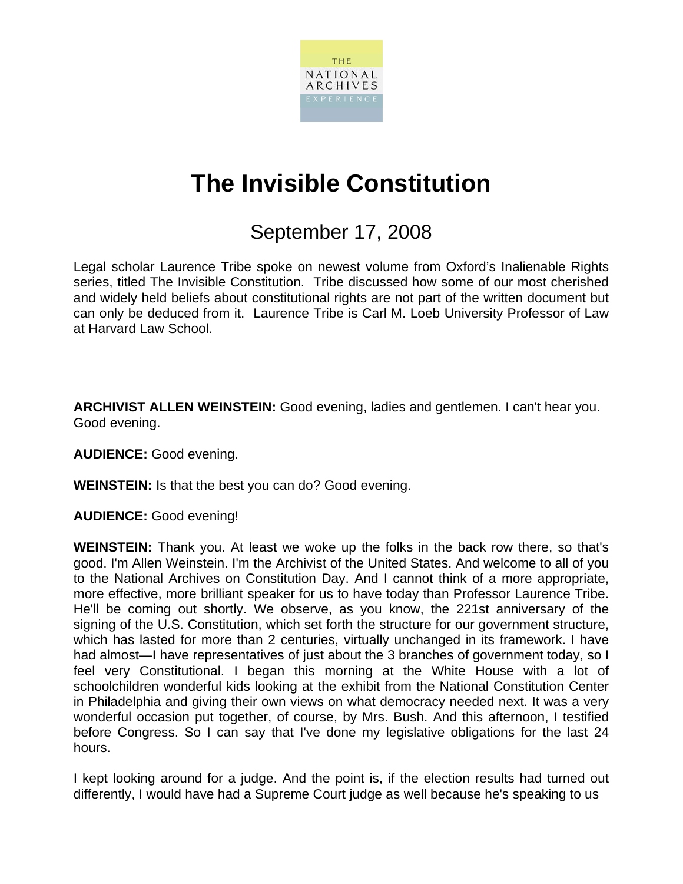

## **The Invisible Constitution**

## September 17, 2008

Legal scholar Laurence Tribe spoke on newest volume from Oxford's Inalienable Rights series, titled The Invisible Constitution. Tribe discussed how some of our most cherished and widely held beliefs about constitutional rights are not part of the written document but can only be deduced from it. Laurence Tribe is Carl M. Loeb University Professor of Law at Harvard Law School.

**ARCHIVIST ALLEN WEINSTEIN:** Good evening, ladies and gentlemen. I can't hear you. Good evening.

**AUDIENCE:** Good evening.

**WEINSTEIN:** Is that the best you can do? Good evening.

**AUDIENCE:** Good evening!

**WEINSTEIN:** Thank you. At least we woke up the folks in the back row there, so that's good. I'm Allen Weinstein. I'm the Archivist of the United States. And welcome to all of you to the National Archives on Constitution Day. And I cannot think of a more appropriate, more effective, more brilliant speaker for us to have today than Professor Laurence Tribe. He'll be coming out shortly. We observe, as you know, the 221st anniversary of the signing of the U.S. Constitution, which set forth the structure for our government structure, which has lasted for more than 2 centuries, virtually unchanged in its framework. I have had almost—I have representatives of just about the 3 branches of government today, so I feel very Constitutional. I began this morning at the White House with a lot of schoolchildren wonderful kids looking at the exhibit from the National Constitution Center in Philadelphia and giving their own views on what democracy needed next. It was a very wonderful occasion put together, of course, by Mrs. Bush. And this afternoon, I testified before Congress. So I can say that I've done my legislative obligations for the last 24 hours.

I kept looking around for a judge. And the point is, if the election results had turned out differently, I would have had a Supreme Court judge as well because he's speaking to us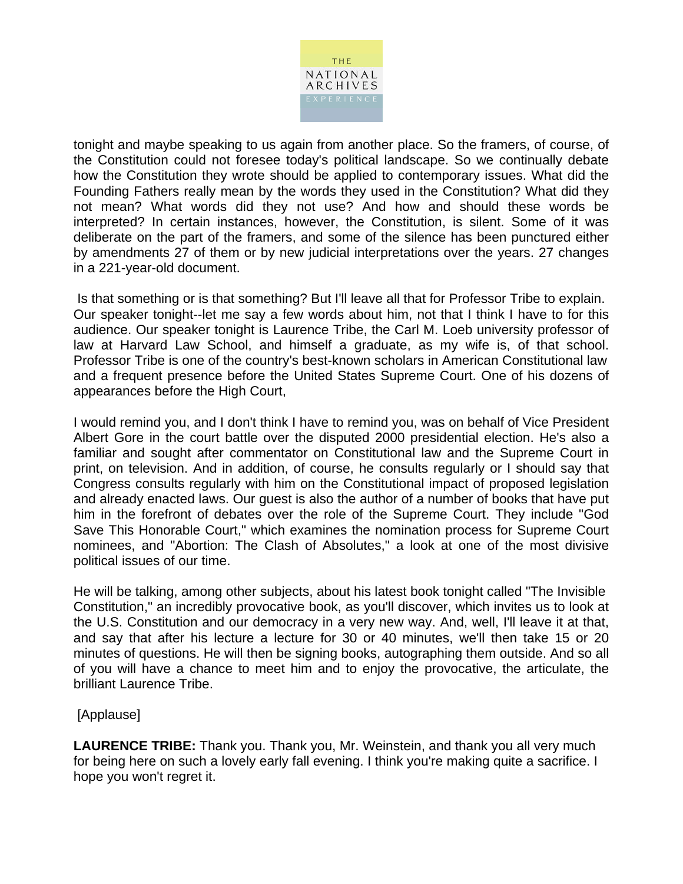

tonight and maybe speaking to us again from another place. So the framers, of course, of the Constitution could not foresee today's political landscape. So we continually debate how the Constitution they wrote should be applied to contemporary issues. What did the Founding Fathers really mean by the words they used in the Constitution? What did they not mean? What words did they not use? And how and should these words be interpreted? In certain instances, however, the Constitution, is silent. Some of it was deliberate on the part of the framers, and some of the silence has been punctured either by amendments 27 of them or by new judicial interpretations over the years. 27 changes in a 221-year-old document.

 Is that something or is that something? But I'll leave all that for Professor Tribe to explain. Our speaker tonight--let me say a few words about him, not that I think I have to for this audience. Our speaker tonight is Laurence Tribe, the Carl M. Loeb university professor of law at Harvard Law School, and himself a graduate, as my wife is, of that school. Professor Tribe is one of the country's best-known scholars in American Constitutional law and a frequent presence before the United States Supreme Court. One of his dozens of appearances before the High Court,

I would remind you, and I don't think I have to remind you, was on behalf of Vice President Albert Gore in the court battle over the disputed 2000 presidential election. He's also a familiar and sought after commentator on Constitutional law and the Supreme Court in print, on television. And in addition, of course, he consults regularly or I should say that Congress consults regularly with him on the Constitutional impact of proposed legislation and already enacted laws. Our guest is also the author of a number of books that have put him in the forefront of debates over the role of the Supreme Court. They include "God Save This Honorable Court," which examines the nomination process for Supreme Court nominees, and "Abortion: The Clash of Absolutes," a look at one of the most divisive political issues of our time.

He will be talking, among other subjects, about his latest book tonight called "The Invisible Constitution," an incredibly provocative book, as you'll discover, which invites us to look at the U.S. Constitution and our democracy in a very new way. And, well, I'll leave it at that, and say that after his lecture a lecture for 30 or 40 minutes, we'll then take 15 or 20 minutes of questions. He will then be signing books, autographing them outside. And so all of you will have a chance to meet him and to enjoy the provocative, the articulate, the brilliant Laurence Tribe.

## [Applause]

**LAURENCE TRIBE:** Thank you. Thank you, Mr. Weinstein, and thank you all very much for being here on such a lovely early fall evening. I think you're making quite a sacrifice. I hope you won't regret it.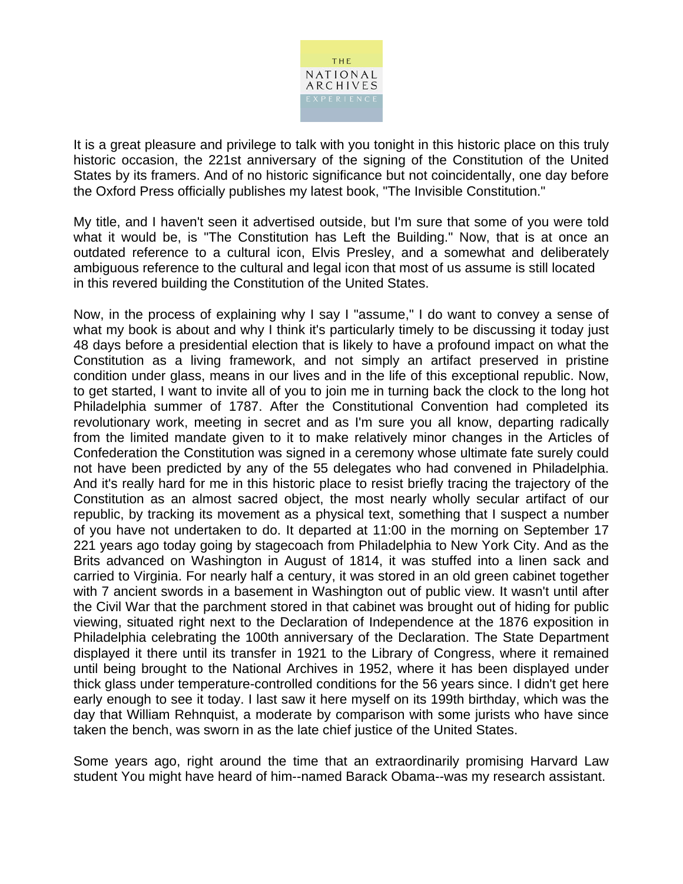

It is a great pleasure and privilege to talk with you tonight in this historic place on this truly historic occasion, the 221st anniversary of the signing of the Constitution of the United States by its framers. And of no historic significance but not coincidentally, one day before the Oxford Press officially publishes my latest book, "The Invisible Constitution."

My title, and I haven't seen it advertised outside, but I'm sure that some of you were told what it would be, is "The Constitution has Left the Building." Now, that is at once an outdated reference to a cultural icon, Elvis Presley, and a somewhat and deliberately ambiguous reference to the cultural and legal icon that most of us assume is still located in this revered building the Constitution of the United States.

Now, in the process of explaining why I say I "assume," I do want to convey a sense of what my book is about and why I think it's particularly timely to be discussing it today just 48 days before a presidential election that is likely to have a profound impact on what the Constitution as a living framework, and not simply an artifact preserved in pristine condition under glass, means in our lives and in the life of this exceptional republic. Now, to get started, I want to invite all of you to join me in turning back the clock to the long hot Philadelphia summer of 1787. After the Constitutional Convention had completed its revolutionary work, meeting in secret and as I'm sure you all know, departing radically from the limited mandate given to it to make relatively minor changes in the Articles of Confederation the Constitution was signed in a ceremony whose ultimate fate surely could not have been predicted by any of the 55 delegates who had convened in Philadelphia. And it's really hard for me in this historic place to resist briefly tracing the trajectory of the Constitution as an almost sacred object, the most nearly wholly secular artifact of our republic, by tracking its movement as a physical text, something that I suspect a number of you have not undertaken to do. It departed at 11:00 in the morning on September 17 221 years ago today going by stagecoach from Philadelphia to New York City. And as the Brits advanced on Washington in August of 1814, it was stuffed into a linen sack and carried to Virginia. For nearly half a century, it was stored in an old green cabinet together with 7 ancient swords in a basement in Washington out of public view. It wasn't until after the Civil War that the parchment stored in that cabinet was brought out of hiding for public viewing, situated right next to the Declaration of Independence at the 1876 exposition in Philadelphia celebrating the 100th anniversary of the Declaration. The State Department displayed it there until its transfer in 1921 to the Library of Congress, where it remained until being brought to the National Archives in 1952, where it has been displayed under thick glass under temperature-controlled conditions for the 56 years since. I didn't get here early enough to see it today. I last saw it here myself on its 199th birthday, which was the day that William Rehnquist, a moderate by comparison with some jurists who have since taken the bench, was sworn in as the late chief justice of the United States.

Some years ago, right around the time that an extraordinarily promising Harvard Law student You might have heard of him--named Barack Obama--was my research assistant.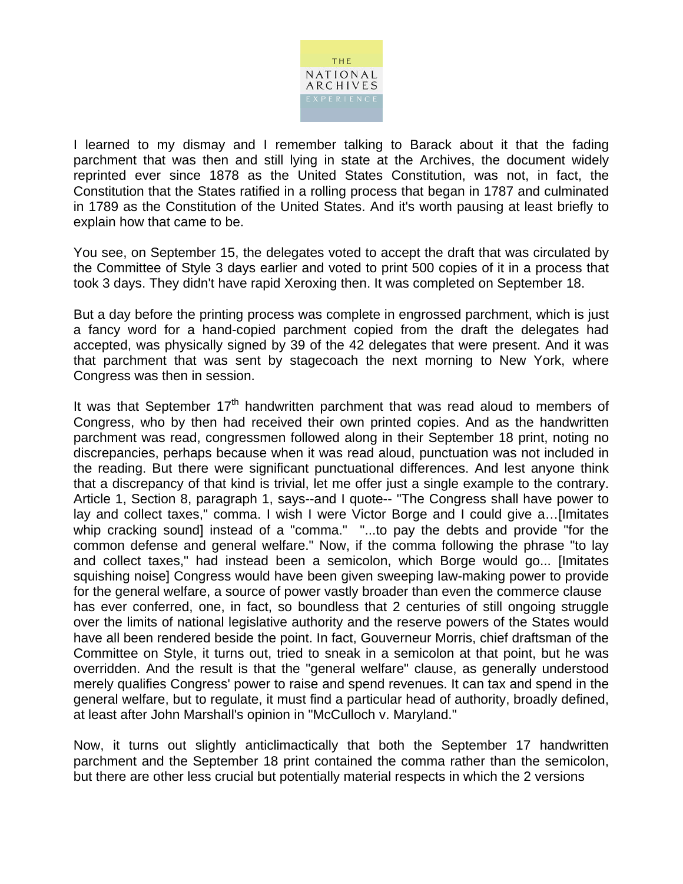

I learned to my dismay and I remember talking to Barack about it that the fading parchment that was then and still lying in state at the Archives, the document widely reprinted ever since 1878 as the United States Constitution, was not, in fact, the Constitution that the States ratified in a rolling process that began in 1787 and culminated in 1789 as the Constitution of the United States. And it's worth pausing at least briefly to explain how that came to be.

You see, on September 15, the delegates voted to accept the draft that was circulated by the Committee of Style 3 days earlier and voted to print 500 copies of it in a process that took 3 days. They didn't have rapid Xeroxing then. It was completed on September 18.

But a day before the printing process was complete in engrossed parchment, which is just a fancy word for a hand-copied parchment copied from the draft the delegates had accepted, was physically signed by 39 of the 42 delegates that were present. And it was that parchment that was sent by stagecoach the next morning to New York, where Congress was then in session.

It was that September  $17<sup>th</sup>$  handwritten parchment that was read aloud to members of Congress, who by then had received their own printed copies. And as the handwritten parchment was read, congressmen followed along in their September 18 print, noting no discrepancies, perhaps because when it was read aloud, punctuation was not included in the reading. But there were significant punctuational differences. And lest anyone think that a discrepancy of that kind is trivial, let me offer just a single example to the contrary. Article 1, Section 8, paragraph 1, says--and I quote-- "The Congress shall have power to lay and collect taxes," comma. I wish I were Victor Borge and I could give a…[Imitates whip cracking sound] instead of a "comma." "...to pay the debts and provide "for the common defense and general welfare." Now, if the comma following the phrase "to lay and collect taxes," had instead been a semicolon, which Borge would go... [Imitates squishing noise] Congress would have been given sweeping law-making power to provide for the general welfare, a source of power vastly broader than even the commerce clause has ever conferred, one, in fact, so boundless that 2 centuries of still ongoing struggle over the limits of national legislative authority and the reserve powers of the States would have all been rendered beside the point. In fact, Gouverneur Morris, chief draftsman of the Committee on Style, it turns out, tried to sneak in a semicolon at that point, but he was overridden. And the result is that the "general welfare" clause, as generally understood merely qualifies Congress' power to raise and spend revenues. It can tax and spend in the general welfare, but to regulate, it must find a particular head of authority, broadly defined, at least after John Marshall's opinion in "McCulloch v. Maryland."

Now, it turns out slightly anticlimactically that both the September 17 handwritten parchment and the September 18 print contained the comma rather than the semicolon, but there are other less crucial but potentially material respects in which the 2 versions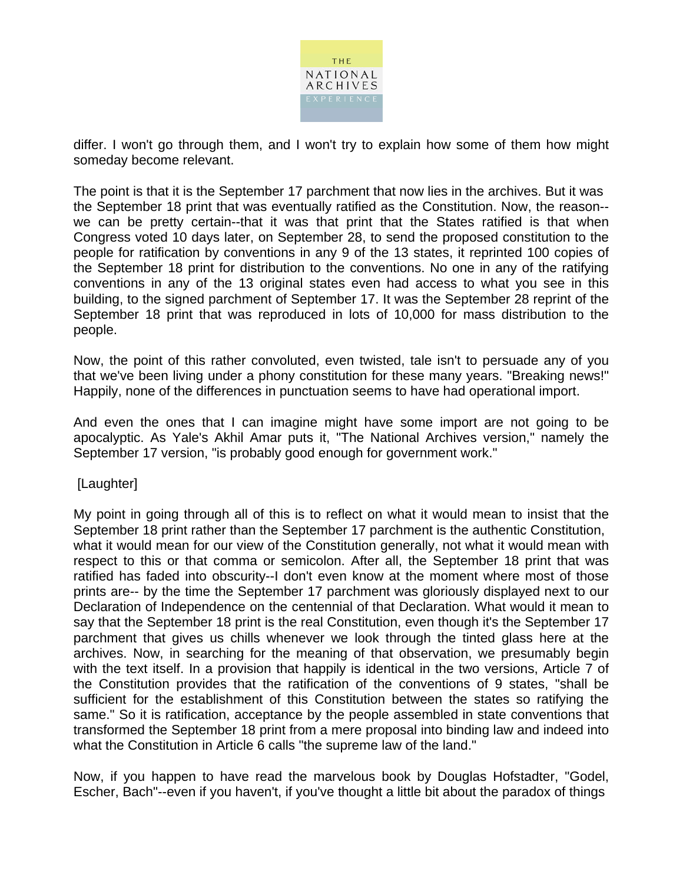

differ. I won't go through them, and I won't try to explain how some of them how might someday become relevant.

The point is that it is the September 17 parchment that now lies in the archives. But it was the September 18 print that was eventually ratified as the Constitution. Now, the reason- we can be pretty certain--that it was that print that the States ratified is that when Congress voted 10 days later, on September 28, to send the proposed constitution to the people for ratification by conventions in any 9 of the 13 states, it reprinted 100 copies of the September 18 print for distribution to the conventions. No one in any of the ratifying conventions in any of the 13 original states even had access to what you see in this building, to the signed parchment of September 17. It was the September 28 reprint of the September 18 print that was reproduced in lots of 10,000 for mass distribution to the people.

Now, the point of this rather convoluted, even twisted, tale isn't to persuade any of you that we've been living under a phony constitution for these many years. "Breaking news!" Happily, none of the differences in punctuation seems to have had operational import.

And even the ones that I can imagine might have some import are not going to be apocalyptic. As Yale's Akhil Amar puts it, "The National Archives version," namely the September 17 version, "is probably good enough for government work."

[Laughter]

My point in going through all of this is to reflect on what it would mean to insist that the September 18 print rather than the September 17 parchment is the authentic Constitution, what it would mean for our view of the Constitution generally, not what it would mean with respect to this or that comma or semicolon. After all, the September 18 print that was ratified has faded into obscurity--I don't even know at the moment where most of those prints are-- by the time the September 17 parchment was gloriously displayed next to our Declaration of Independence on the centennial of that Declaration. What would it mean to say that the September 18 print is the real Constitution, even though it's the September 17 parchment that gives us chills whenever we look through the tinted glass here at the archives. Now, in searching for the meaning of that observation, we presumably begin with the text itself. In a provision that happily is identical in the two versions, Article 7 of the Constitution provides that the ratification of the conventions of 9 states, "shall be sufficient for the establishment of this Constitution between the states so ratifying the same." So it is ratification, acceptance by the people assembled in state conventions that transformed the September 18 print from a mere proposal into binding law and indeed into what the Constitution in Article 6 calls "the supreme law of the land."

Now, if you happen to have read the marvelous book by Douglas Hofstadter, "Godel, Escher, Bach"--even if you haven't, if you've thought a little bit about the paradox of things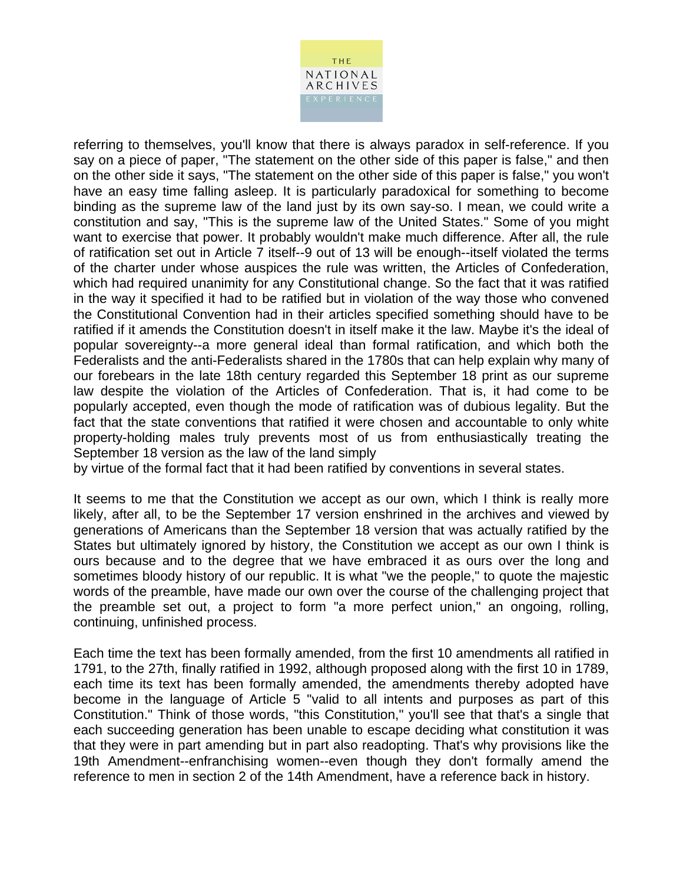

referring to themselves, you'll know that there is always paradox in self-reference. If you say on a piece of paper, "The statement on the other side of this paper is false," and then on the other side it says, "The statement on the other side of this paper is false," you won't have an easy time falling asleep. It is particularly paradoxical for something to become binding as the supreme law of the land just by its own say-so. I mean, we could write a constitution and say, "This is the supreme law of the United States." Some of you might want to exercise that power. It probably wouldn't make much difference. After all, the rule of ratification set out in Article 7 itself--9 out of 13 will be enough--itself violated the terms of the charter under whose auspices the rule was written, the Articles of Confederation, which had required unanimity for any Constitutional change. So the fact that it was ratified in the way it specified it had to be ratified but in violation of the way those who convened the Constitutional Convention had in their articles specified something should have to be ratified if it amends the Constitution doesn't in itself make it the law. Maybe it's the ideal of popular sovereignty--a more general ideal than formal ratification, and which both the Federalists and the anti-Federalists shared in the 1780s that can help explain why many of our forebears in the late 18th century regarded this September 18 print as our supreme law despite the violation of the Articles of Confederation. That is, it had come to be popularly accepted, even though the mode of ratification was of dubious legality. But the fact that the state conventions that ratified it were chosen and accountable to only white property-holding males truly prevents most of us from enthusiastically treating the September 18 version as the law of the land simply

by virtue of the formal fact that it had been ratified by conventions in several states.

It seems to me that the Constitution we accept as our own, which I think is really more likely, after all, to be the September 17 version enshrined in the archives and viewed by generations of Americans than the September 18 version that was actually ratified by the States but ultimately ignored by history, the Constitution we accept as our own I think is ours because and to the degree that we have embraced it as ours over the long and sometimes bloody history of our republic. It is what "we the people," to quote the majestic words of the preamble, have made our own over the course of the challenging project that the preamble set out, a project to form "a more perfect union," an ongoing, rolling, continuing, unfinished process.

Each time the text has been formally amended, from the first 10 amendments all ratified in 1791, to the 27th, finally ratified in 1992, although proposed along with the first 10 in 1789, each time its text has been formally amended, the amendments thereby adopted have become in the language of Article 5 "valid to all intents and purposes as part of this Constitution." Think of those words, "this Constitution," you'll see that that's a single that each succeeding generation has been unable to escape deciding what constitution it was that they were in part amending but in part also readopting. That's why provisions like the 19th Amendment--enfranchising women--even though they don't formally amend the reference to men in section 2 of the 14th Amendment, have a reference back in history.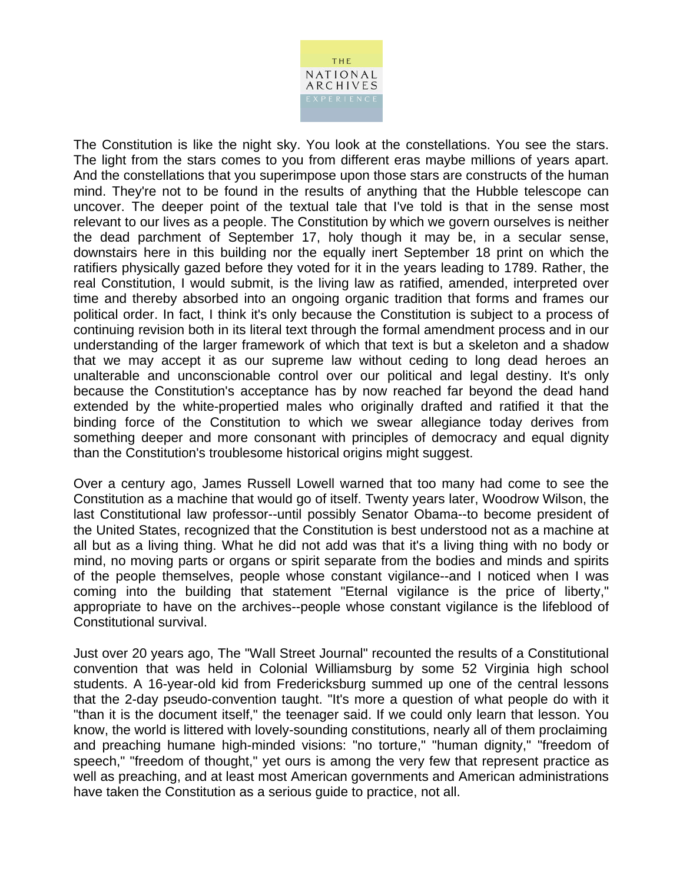

The Constitution is like the night sky. You look at the constellations. You see the stars. The light from the stars comes to you from different eras maybe millions of years apart. And the constellations that you superimpose upon those stars are constructs of the human mind. They're not to be found in the results of anything that the Hubble telescope can uncover. The deeper point of the textual tale that I've told is that in the sense most relevant to our lives as a people. The Constitution by which we govern ourselves is neither the dead parchment of September 17, holy though it may be, in a secular sense, downstairs here in this building nor the equally inert September 18 print on which the ratifiers physically gazed before they voted for it in the years leading to 1789. Rather, the real Constitution, I would submit, is the living law as ratified, amended, interpreted over time and thereby absorbed into an ongoing organic tradition that forms and frames our political order. In fact, I think it's only because the Constitution is subject to a process of continuing revision both in its literal text through the formal amendment process and in our understanding of the larger framework of which that text is but a skeleton and a shadow that we may accept it as our supreme law without ceding to long dead heroes an unalterable and unconscionable control over our political and legal destiny. It's only because the Constitution's acceptance has by now reached far beyond the dead hand extended by the white-propertied males who originally drafted and ratified it that the binding force of the Constitution to which we swear allegiance today derives from something deeper and more consonant with principles of democracy and equal dignity than the Constitution's troublesome historical origins might suggest.

Over a century ago, James Russell Lowell warned that too many had come to see the Constitution as a machine that would go of itself. Twenty years later, Woodrow Wilson, the last Constitutional law professor--until possibly Senator Obama--to become president of the United States, recognized that the Constitution is best understood not as a machine at all but as a living thing. What he did not add was that it's a living thing with no body or mind, no moving parts or organs or spirit separate from the bodies and minds and spirits of the people themselves, people whose constant vigilance--and I noticed when I was coming into the building that statement "Eternal vigilance is the price of liberty," appropriate to have on the archives--people whose constant vigilance is the lifeblood of Constitutional survival.

Just over 20 years ago, The "Wall Street Journal" recounted the results of a Constitutional convention that was held in Colonial Williamsburg by some 52 Virginia high school students. A 16-year-old kid from Fredericksburg summed up one of the central lessons that the 2-day pseudo-convention taught. "It's more a question of what people do with it "than it is the document itself," the teenager said. If we could only learn that lesson. You know, the world is littered with lovely-sounding constitutions, nearly all of them proclaiming and preaching humane high-minded visions: "no torture," "human dignity," "freedom of speech," "freedom of thought," yet ours is among the very few that represent practice as well as preaching, and at least most American governments and American administrations have taken the Constitution as a serious guide to practice, not all.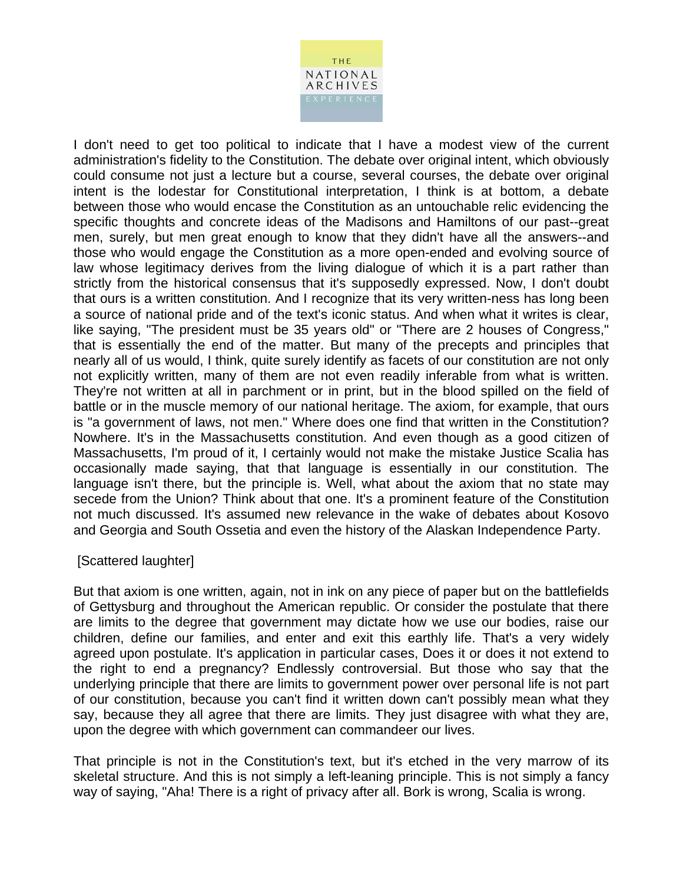

I don't need to get too political to indicate that I have a modest view of the current administration's fidelity to the Constitution. The debate over original intent, which obviously could consume not just a lecture but a course, several courses, the debate over original intent is the lodestar for Constitutional interpretation, I think is at bottom, a debate between those who would encase the Constitution as an untouchable relic evidencing the specific thoughts and concrete ideas of the Madisons and Hamiltons of our past--great men, surely, but men great enough to know that they didn't have all the answers--and those who would engage the Constitution as a more open-ended and evolving source of law whose legitimacy derives from the living dialogue of which it is a part rather than strictly from the historical consensus that it's supposedly expressed. Now, I don't doubt that ours is a written constitution. And I recognize that its very written-ness has long been a source of national pride and of the text's iconic status. And when what it writes is clear, like saying, "The president must be 35 years old" or "There are 2 houses of Congress," that is essentially the end of the matter. But many of the precepts and principles that nearly all of us would, I think, quite surely identify as facets of our constitution are not only not explicitly written, many of them are not even readily inferable from what is written. They're not written at all in parchment or in print, but in the blood spilled on the field of battle or in the muscle memory of our national heritage. The axiom, for example, that ours is "a government of laws, not men." Where does one find that written in the Constitution? Nowhere. It's in the Massachusetts constitution. And even though as a good citizen of Massachusetts, I'm proud of it, I certainly would not make the mistake Justice Scalia has occasionally made saying, that that language is essentially in our constitution. The language isn't there, but the principle is. Well, what about the axiom that no state may secede from the Union? Think about that one. It's a prominent feature of the Constitution not much discussed. It's assumed new relevance in the wake of debates about Kosovo and Georgia and South Ossetia and even the history of the Alaskan Independence Party.

## [Scattered laughter]

But that axiom is one written, again, not in ink on any piece of paper but on the battlefields of Gettysburg and throughout the American republic. Or consider the postulate that there are limits to the degree that government may dictate how we use our bodies, raise our children, define our families, and enter and exit this earthly life. That's a very widely agreed upon postulate. It's application in particular cases, Does it or does it not extend to the right to end a pregnancy? Endlessly controversial. But those who say that the underlying principle that there are limits to government power over personal life is not part of our constitution, because you can't find it written down can't possibly mean what they say, because they all agree that there are limits. They just disagree with what they are, upon the degree with which government can commandeer our lives.

That principle is not in the Constitution's text, but it's etched in the very marrow of its skeletal structure. And this is not simply a left-leaning principle. This is not simply a fancy way of saying, "Aha! There is a right of privacy after all. Bork is wrong, Scalia is wrong.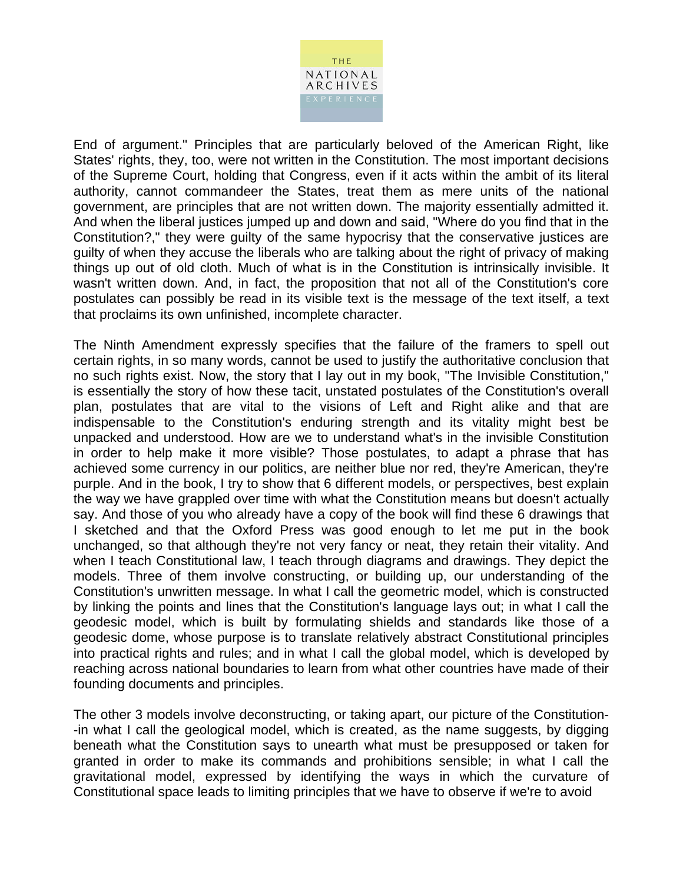

End of argument." Principles that are particularly beloved of the American Right, like States' rights, they, too, were not written in the Constitution. The most important decisions of the Supreme Court, holding that Congress, even if it acts within the ambit of its literal authority, cannot commandeer the States, treat them as mere units of the national government, are principles that are not written down. The majority essentially admitted it. And when the liberal justices jumped up and down and said, "Where do you find that in the Constitution?," they were guilty of the same hypocrisy that the conservative justices are guilty of when they accuse the liberals who are talking about the right of privacy of making things up out of old cloth. Much of what is in the Constitution is intrinsically invisible. It wasn't written down. And, in fact, the proposition that not all of the Constitution's core postulates can possibly be read in its visible text is the message of the text itself, a text that proclaims its own unfinished, incomplete character.

The Ninth Amendment expressly specifies that the failure of the framers to spell out certain rights, in so many words, cannot be used to justify the authoritative conclusion that no such rights exist. Now, the story that I lay out in my book, "The Invisible Constitution," is essentially the story of how these tacit, unstated postulates of the Constitution's overall plan, postulates that are vital to the visions of Left and Right alike and that are indispensable to the Constitution's enduring strength and its vitality might best be unpacked and understood. How are we to understand what's in the invisible Constitution in order to help make it more visible? Those postulates, to adapt a phrase that has achieved some currency in our politics, are neither blue nor red, they're American, they're purple. And in the book, I try to show that 6 different models, or perspectives, best explain the way we have grappled over time with what the Constitution means but doesn't actually say. And those of you who already have a copy of the book will find these 6 drawings that I sketched and that the Oxford Press was good enough to let me put in the book unchanged, so that although they're not very fancy or neat, they retain their vitality. And when I teach Constitutional law, I teach through diagrams and drawings. They depict the models. Three of them involve constructing, or building up, our understanding of the Constitution's unwritten message. In what I call the geometric model, which is constructed by linking the points and lines that the Constitution's language lays out; in what I call the geodesic model, which is built by formulating shields and standards like those of a geodesic dome, whose purpose is to translate relatively abstract Constitutional principles into practical rights and rules; and in what I call the global model, which is developed by reaching across national boundaries to learn from what other countries have made of their founding documents and principles.

The other 3 models involve deconstructing, or taking apart, our picture of the Constitution- -in what I call the geological model, which is created, as the name suggests, by digging beneath what the Constitution says to unearth what must be presupposed or taken for granted in order to make its commands and prohibitions sensible; in what I call the gravitational model, expressed by identifying the ways in which the curvature of Constitutional space leads to limiting principles that we have to observe if we're to avoid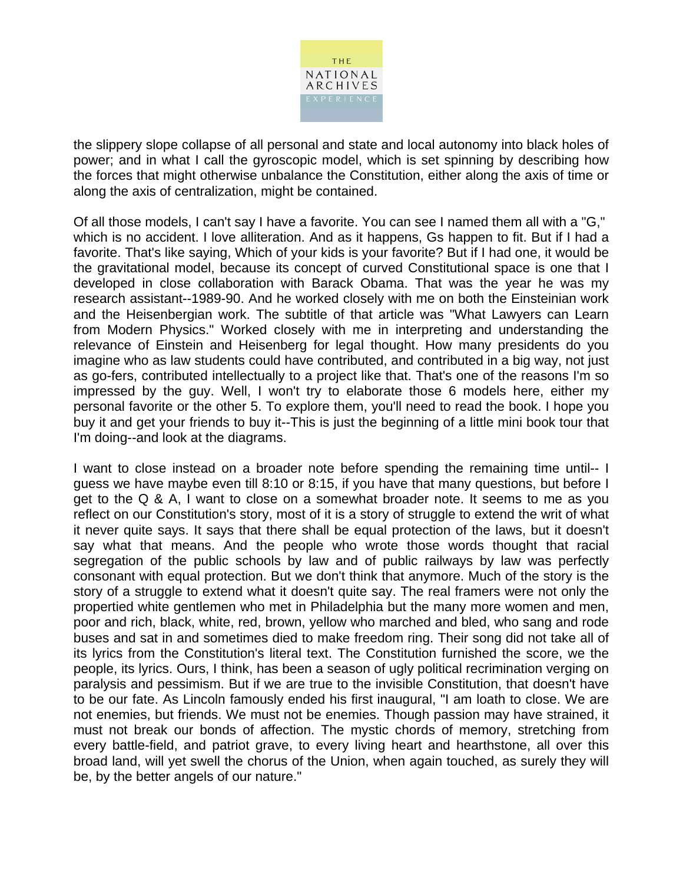

the slippery slope collapse of all personal and state and local autonomy into black holes of power; and in what I call the gyroscopic model, which is set spinning by describing how the forces that might otherwise unbalance the Constitution, either along the axis of time or along the axis of centralization, might be contained.

Of all those models, I can't say I have a favorite. You can see I named them all with a "G," which is no accident. I love alliteration. And as it happens, Gs happen to fit. But if I had a favorite. That's like saying, Which of your kids is your favorite? But if I had one, it would be the gravitational model, because its concept of curved Constitutional space is one that I developed in close collaboration with Barack Obama. That was the year he was my research assistant--1989-90. And he worked closely with me on both the Einsteinian work and the Heisenbergian work. The subtitle of that article was "What Lawyers can Learn from Modern Physics." Worked closely with me in interpreting and understanding the relevance of Einstein and Heisenberg for legal thought. How many presidents do you imagine who as law students could have contributed, and contributed in a big way, not just as go-fers, contributed intellectually to a project like that. That's one of the reasons I'm so impressed by the guy. Well, I won't try to elaborate those 6 models here, either my personal favorite or the other 5. To explore them, you'll need to read the book. I hope you buy it and get your friends to buy it--This is just the beginning of a little mini book tour that I'm doing--and look at the diagrams.

I want to close instead on a broader note before spending the remaining time until-- I guess we have maybe even till 8:10 or 8:15, if you have that many questions, but before I get to the Q & A, I want to close on a somewhat broader note. It seems to me as you reflect on our Constitution's story, most of it is a story of struggle to extend the writ of what it never quite says. It says that there shall be equal protection of the laws, but it doesn't say what that means. And the people who wrote those words thought that racial segregation of the public schools by law and of public railways by law was perfectly consonant with equal protection. But we don't think that anymore. Much of the story is the story of a struggle to extend what it doesn't quite say. The real framers were not only the propertied white gentlemen who met in Philadelphia but the many more women and men, poor and rich, black, white, red, brown, yellow who marched and bled, who sang and rode buses and sat in and sometimes died to make freedom ring. Their song did not take all of its lyrics from the Constitution's literal text. The Constitution furnished the score, we the people, its lyrics. Ours, I think, has been a season of ugly political recrimination verging on paralysis and pessimism. But if we are true to the invisible Constitution, that doesn't have to be our fate. As Lincoln famously ended his first inaugural, "I am loath to close. We are not enemies, but friends. We must not be enemies. Though passion may have strained, it must not break our bonds of affection. The mystic chords of memory, stretching from every battle-field, and patriot grave, to every living heart and hearthstone, all over this broad land, will yet swell the chorus of the Union, when again touched, as surely they will be, by the better angels of our nature."